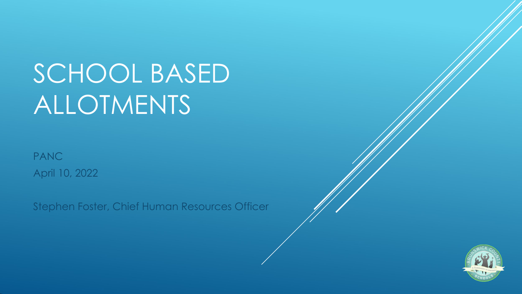# SCHOOL BASED ALLOTMENTS

PANC April 10, 2022

Stephen Foster, Chief Human Resources Officer

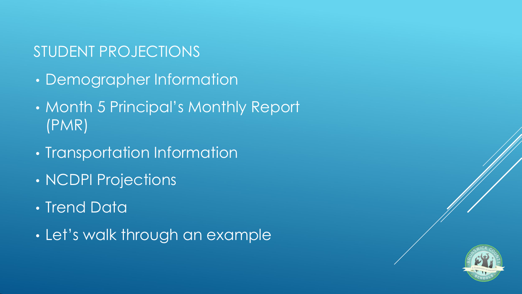#### STUDENT PROJECTIONS

- Demographer Information
- Month 5 Principal's Monthly Report (PMR)
- Transportation Information
- NCDPI Projections
- Trend Data
- Let's walk through an example

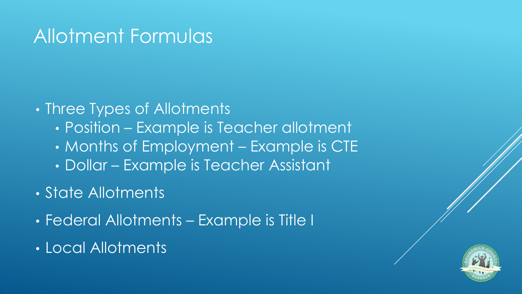#### Allotment Formulas

#### • Three Types of Allotments

- Position Example is Teacher allotment
- Months of Employment Example is CTE
- Dollar Example is Teacher Assistant
- State Allotments
- Federal Allotments Example is Title I
- Local Allotments

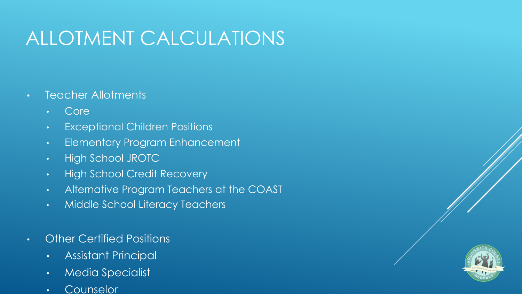## ALLOTMENT CALCULATIONS

- Teacher Allotments
	- Core
	- Exceptional Children Positions
	- Elementary Program Enhancement
	- High School JROTC
	- High School Credit Recovery
	- Alternative Program Teachers at the COAST
	- Middle School Literacy Teachers
- Other Certified Positions
	- Assistant Principal
	- Media Specialist
	- Counselor

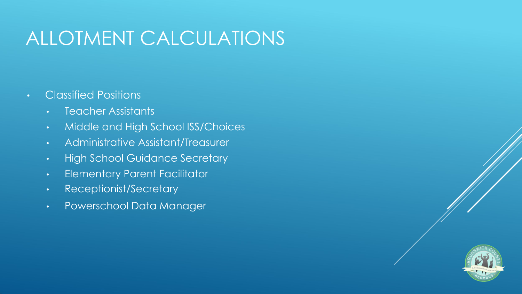### ALLOTMENT CALCULATIONS

- Classified Positions
	- Teacher Assistants
	- Middle and High School ISS/Choices
	- Administrative Assistant/Treasurer
	- High School Guidance Secretary
	- Elementary Parent Facilitator
	- Receptionist/Secretary
	- Powerschool Data Manager

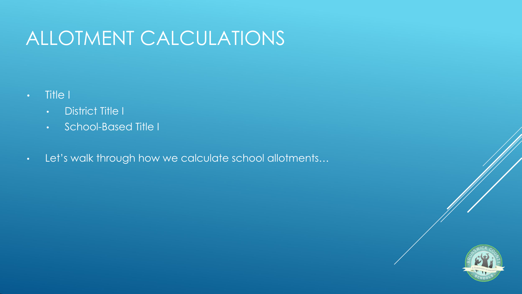### ALLOTMENT CALCULATIONS

- Title I
	- District Title I
	- School-Based Title I
- Let's walk through how we calculate school allotments…

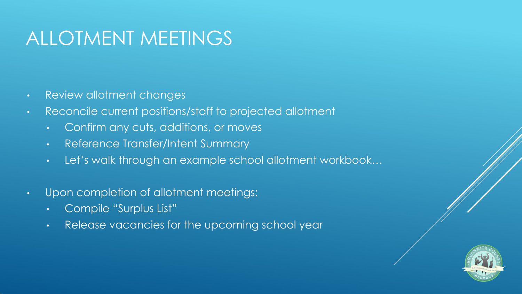### ALLOTMENT MEETINGS

- Review allotment changes
- Reconcile current positions/staff to projected allotment
	- Confirm any cuts, additions, or moves
	- Reference Transfer/Intent Summary
	- Let's walk through an example school allotment workbook…
- Upon completion of allotment meetings:
	- Compile "Surplus List"
	- Release vacancies for the upcoming school year